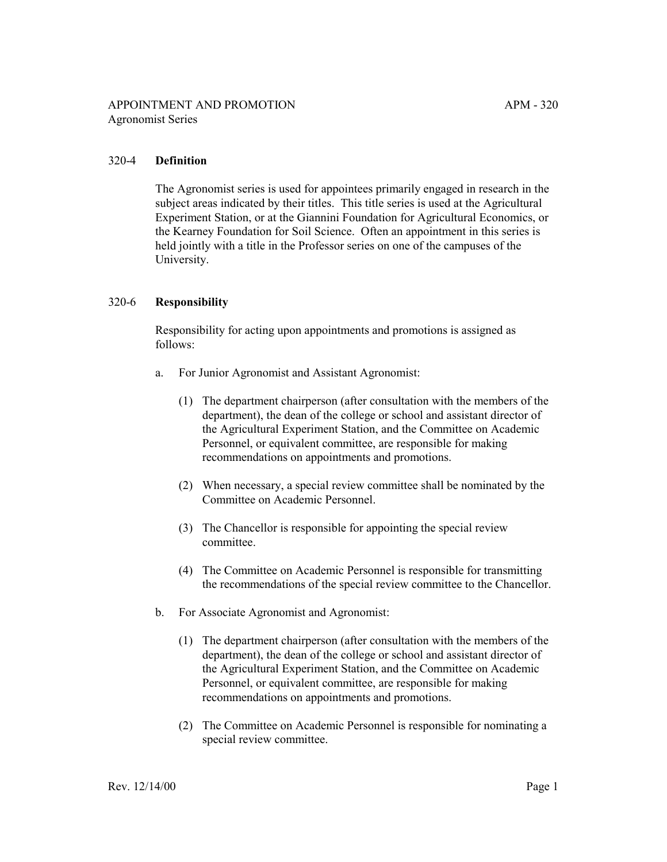# APPOINTMENT AND PROMOTION APM - 320 Agronomist Series

## 320-4 **Definition**

The Agronomist series is used for appointees primarily engaged in research in the subject areas indicated by their titles. This title series is used at the Agricultural Experiment Station, or at the Giannini Foundation for Agricultural Economics, or the Kearney Foundation for Soil Science. Often an appointment in this series is held jointly with a title in the Professor series on one of the campuses of the University.

### 320-6 **Responsibility**

Responsibility for acting upon appointments and promotions is assigned as follows:

- a. For Junior Agronomist and Assistant Agronomist:
	- (1) The department chairperson (after consultation with the members of the department), the dean of the college or school and assistant director of the Agricultural Experiment Station, and the Committee on Academic Personnel, or equivalent committee, are responsible for making recommendations on appointments and promotions.
	- (2) When necessary, a special review committee shall be nominated by the Committee on Academic Personnel.
	- (3) The Chancellor is responsible for appointing the special review committee.
	- (4) The Committee on Academic Personnel is responsible for transmitting the recommendations of the special review committee to the Chancellor.
- b. For Associate Agronomist and Agronomist:
	- (1) The department chairperson (after consultation with the members of the department), the dean of the college or school and assistant director of the Agricultural Experiment Station, and the Committee on Academic Personnel, or equivalent committee, are responsible for making recommendations on appointments and promotions.
	- (2) The Committee on Academic Personnel is responsible for nominating a special review committee.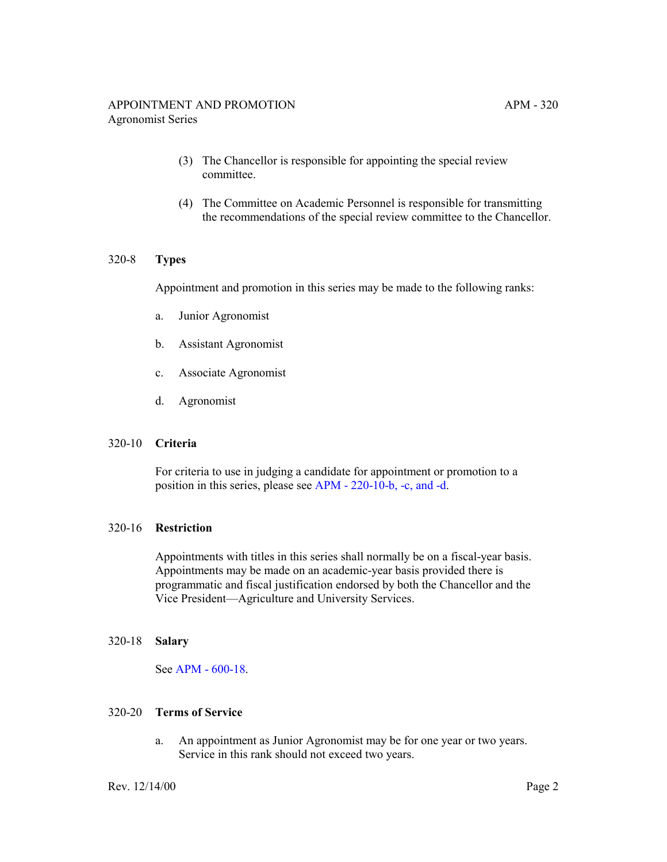- (3) The Chancellor is responsible for appointing the special review committee.
- (4) The Committee on Academic Personnel is responsible for transmitting the recommendations of the special review committee to the Chancellor.

# 320-8 **Types**

Appointment and promotion in this series may be made to the following ranks:

- a. Junior Agronomist
- b. Assistant Agronomist
- c. Associate Agronomist
- d. Agronomist

## 320-10 **Criteria**

For criteria to use in judging a candidate for appointment or promotion to a position in this series, please see [APM - 220-10-b, -c, and -d](http://ucop.edu/academic-personnel-programs/_files/apm/apm-220.pdf).

## 320-16 **Restriction**

Appointments with titles in this series shall normally be on a fiscal-year basis. Appointments may be made on an academic-year basis provided there is programmatic and fiscal justification endorsed by both the Chancellor and the Vice President—Agriculture and University Services.

#### 320-18 **Salary**

See [APM - 600-18](http://ucop.edu/academic-personnel-programs/_files/apm/apm-600.pdf).

## 320-20 **Terms of Service**

a. An appointment as Junior Agronomist may be for one year or two years. Service in this rank should not exceed two years.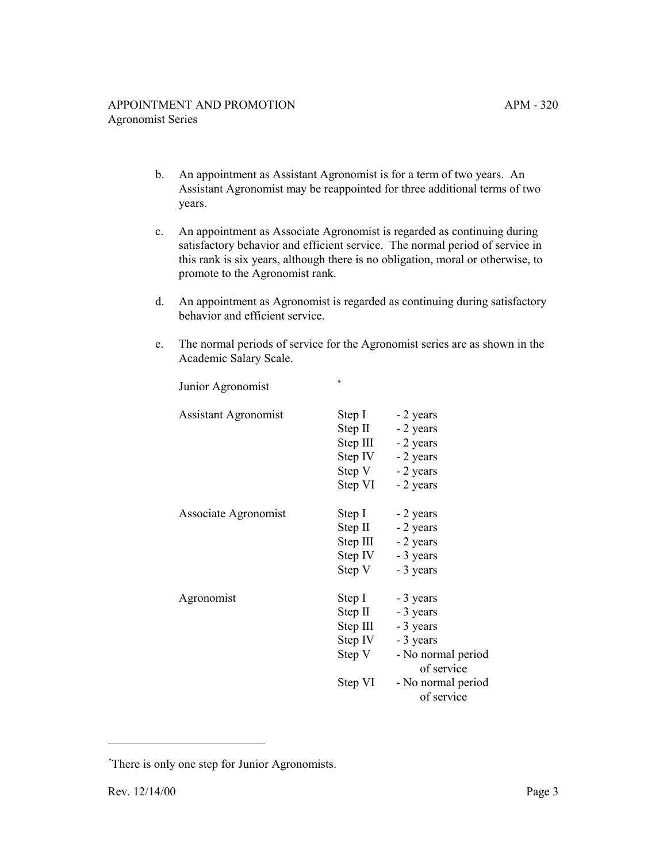- b. An appointment as Assistant Agronomist is for a term of two years. An Assistant Agronomist may be reappointed for three additional terms of two years.
- c. An appointment as Associate Agronomist is regarded as continuing during satisfactory behavior and efficient service. The normal period of service in this rank is six years, although there is no obligation, moral or otherwise, to promote to the Agronomist rank.
- d. An appointment as Agronomist is regarded as continuing during satisfactory behavior and efficient service.
- e. The normal periods of service for the Agronomist series are as shown in the Academic Salary Scale.

| Junior Agronomist           | $\ast$    |                                  |
|-----------------------------|-----------|----------------------------------|
| <b>Assistant Agronomist</b> | Step I    | - 2 years                        |
|                             | Step $II$ | - 2 years                        |
|                             | Step III  | - 2 years                        |
|                             | Step IV   | - 2 years                        |
|                             | Step V    | - 2 years                        |
|                             | Step VI   | - 2 years                        |
| Associate Agronomist        | Step I    | - 2 years                        |
|                             | Step $II$ | - 2 years                        |
|                             | Step III  | - 2 years                        |
|                             | Step IV   | - 3 years                        |
|                             | Step V    | - 3 years                        |
| Agronomist                  | Step I    | - 3 years                        |
|                             | Step $II$ | - 3 years                        |
|                             | Step III  | - 3 years                        |
|                             | Step IV   | - 3 years                        |
|                             | Step V    | - No normal period<br>of service |
|                             | Step VI   | - No normal period<br>of service |

<sup>\*</sup> There is only one step for Junior Agronomists.